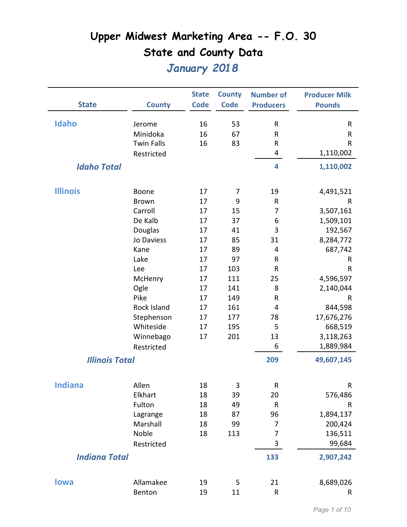|                       |                   | <b>State</b> | <b>County</b> | <b>Number of</b> | <b>Producer Milk</b> |
|-----------------------|-------------------|--------------|---------------|------------------|----------------------|
| <b>State</b>          | <b>County</b>     | <b>Code</b>  | <b>Code</b>   | <b>Producers</b> | <b>Pounds</b>        |
|                       |                   |              |               |                  |                      |
| <b>Idaho</b>          | Jerome            | 16           | 53            | R                | R                    |
|                       | Minidoka          | 16           | 67            | R                | R                    |
|                       | <b>Twin Falls</b> | 16           | 83            | R                | R                    |
|                       | Restricted        |              |               | 4                | 1,110,002            |
| <b>Idaho Total</b>    |                   |              |               | 4                | 1,110,002            |
|                       |                   |              |               |                  |                      |
| <b>Illinois</b>       | Boone             | 17           | 7             | 19               | 4,491,521            |
|                       | <b>Brown</b>      | 17           | 9             | R                | R                    |
|                       | Carroll           | 17           | 15            | 7                | 3,507,161            |
|                       | De Kalb           | 17           | 37            | 6                | 1,509,101            |
|                       | Douglas           | 17           | 41            | 3                | 192,567              |
|                       | Jo Daviess        | 17           | 85            | 31               | 8,284,772            |
|                       | Kane              | 17           | 89            | 4                | 687,742              |
|                       | Lake              | 17           | 97            | R                | R                    |
|                       | Lee               | 17           | 103           | R                | R                    |
|                       | McHenry           | 17           | 111           | 25               | 4,596,597            |
|                       | Ogle              | 17           | 141           | 8                | 2,140,044            |
|                       | Pike              | 17           | 149           | R                | $\sf R$              |
|                       | Rock Island       | 17           | 161           | 4                | 844,598              |
|                       | Stephenson        | 17           | 177           | 78               | 17,676,276           |
|                       | Whiteside         | 17           | 195           | 5                | 668,519              |
|                       | Winnebago         | 17           | 201           | 13               | 3,118,263            |
|                       | Restricted        |              |               | 6                | 1,889,984            |
| <b>Illinois Total</b> |                   |              |               | 209              | 49,607,145           |
|                       |                   |              |               |                  |                      |
| <b>Indiana</b>        | Allen             | 18           | 3             | R                | R                    |
|                       | Elkhart           | 18           | 39            | 20               | 576,486              |
|                       | Fulton            | 18           | 49            | R                | R                    |
|                       | Lagrange          | 18           | 87            | 96               | 1,894,137            |
|                       | Marshall          | 18           | 99            | 7                | 200,424              |
|                       | Noble             | 18           | 113           | 7                | 136,511              |
|                       | Restricted        |              |               | 3                | 99,684               |
| <b>Indiana Total</b>  |                   |              |               | 133              | 2,907,242            |
|                       |                   |              |               |                  |                      |
| lowa                  | Allamakee         | 19           | 5             | 21               | 8,689,026            |
|                       | Benton            | 19           | 11            | ${\sf R}$        | R                    |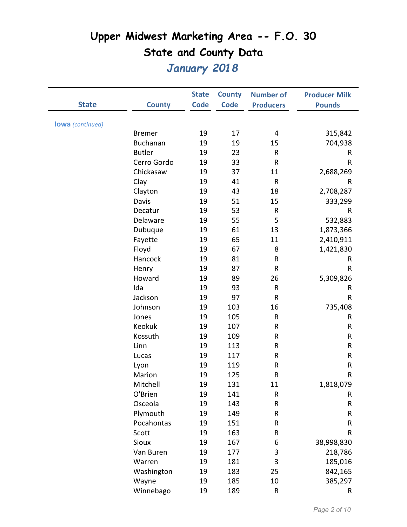|                         |                 | <b>State</b> | <b>County</b> | <b>Number of</b> | <b>Producer Milk</b> |
|-------------------------|-----------------|--------------|---------------|------------------|----------------------|
| <b>State</b>            | <b>County</b>   | <b>Code</b>  | <b>Code</b>   | <b>Producers</b> | <b>Pounds</b>        |
|                         |                 |              |               |                  |                      |
| <b>lowa</b> (continued) |                 |              |               |                  |                      |
|                         | <b>Bremer</b>   | 19           | 17            | 4                | 315,842              |
|                         | <b>Buchanan</b> | 19           | 19            | 15               | 704,938              |
|                         | <b>Butler</b>   | 19           | 23            | R                | R                    |
|                         | Cerro Gordo     | 19           | 33            | $\mathsf{R}$     | R                    |
|                         | Chickasaw       | 19           | 37            | 11               | 2,688,269            |
|                         | Clay            | 19           | 41            | $\sf R$          | R                    |
|                         | Clayton         | 19           | 43            | 18               | 2,708,287            |
|                         | Davis           | 19           | 51            | 15               | 333,299              |
|                         | Decatur         | 19           | 53            | R                | R                    |
|                         | Delaware        | 19           | 55            | 5                | 532,883              |
|                         | Dubuque         | 19           | 61            | 13               | 1,873,366            |
|                         | Fayette         | 19           | 65            | 11               | 2,410,911            |
|                         | Floyd           | 19           | 67            | 8                | 1,421,830            |
|                         | Hancock         | 19           | 81            | R                | R                    |
|                         | Henry           | 19           | 87            | R                | R                    |
|                         | Howard          | 19           | 89            | 26               | 5,309,826            |
|                         | Ida             | 19           | 93            | R                | R                    |
|                         | Jackson         | 19           | 97            | ${\sf R}$        | $\mathsf R$          |
|                         | Johnson         | 19           | 103           | 16               | 735,408              |
|                         | Jones           | 19           | 105           | R                | R                    |
|                         | Keokuk          | 19           | 107           | R                | R                    |
|                         | Kossuth         | 19           | 109           | R                | ${\sf R}$            |
|                         | Linn            | 19           | 113           | R                | R                    |
|                         | Lucas           | 19           | 117           | R                | R                    |
|                         | Lyon            | 19           | 119           | R                | R                    |
|                         | Marion          | 19           | 125           | R                | R                    |
|                         | Mitchell        | 19           | 131           | 11               | 1,818,079            |
|                         | O'Brien         | 19           | 141           | R                | R                    |
|                         | Osceola         | 19           | 143           | ${\sf R}$        | R                    |
|                         | Plymouth        | 19           | 149           | R                | R                    |
|                         | Pocahontas      | 19           | 151           | R                | R                    |
|                         | Scott           | 19           | 163           | R                | R                    |
|                         | Sioux           | 19           | 167           | 6                | 38,998,830           |
|                         | Van Buren       | 19           | 177           | 3                | 218,786              |
|                         | Warren          | 19           | 181           | 3                | 185,016              |
|                         | Washington      | 19           | 183           | 25               | 842,165              |
|                         | Wayne           | 19           | 185           | 10               | 385,297              |
|                         | Winnebago       | 19           | 189           | R                | R                    |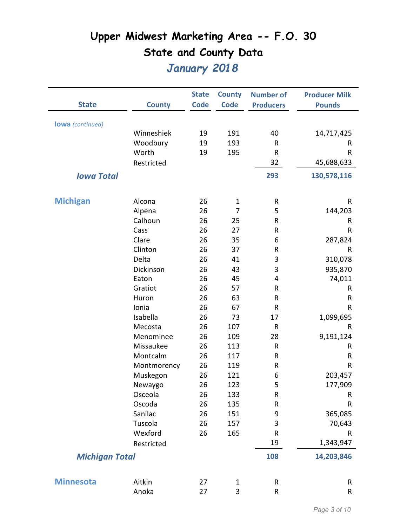| <b>State</b>            | <b>County</b> | <b>State</b><br><b>Code</b> | <b>County</b><br><b>Code</b> | <b>Number of</b><br><b>Producers</b> | <b>Producer Milk</b><br><b>Pounds</b> |
|-------------------------|---------------|-----------------------------|------------------------------|--------------------------------------|---------------------------------------|
|                         |               |                             |                              |                                      |                                       |
| <b>lowa</b> (continued) |               |                             |                              |                                      |                                       |
|                         | Winneshiek    | 19                          | 191                          | 40                                   | 14,717,425                            |
|                         | Woodbury      | 19                          | 193                          | R                                    | R                                     |
|                         | Worth         | 19                          | 195                          | $\mathsf{R}$                         | $\mathsf{R}$                          |
|                         | Restricted    |                             |                              | 32                                   | 45,688,633                            |
| <b>Iowa Total</b>       |               |                             |                              | 293                                  | 130,578,116                           |
| <b>Michigan</b>         | Alcona        | 26                          | $\mathbf{1}$                 | $\sf R$                              | $\mathsf{R}$                          |
|                         | Alpena        | 26                          | 7                            | 5                                    | 144,203                               |
|                         | Calhoun       | 26                          | 25                           | ${\sf R}$                            | ${\sf R}$                             |
|                         | Cass          | 26                          | 27                           | R                                    | $\mathsf{R}$                          |
|                         | Clare         | 26                          | 35                           | 6                                    | 287,824                               |
|                         | Clinton       | 26                          | 37                           | R                                    | R                                     |
|                         | Delta         | 26                          | 41                           | 3                                    | 310,078                               |
|                         | Dickinson     | 26                          | 43                           | 3                                    | 935,870                               |
|                         | Eaton         | 26                          | 45                           | 4                                    | 74,011                                |
|                         | Gratiot       | 26                          | 57                           | ${\sf R}$                            | R                                     |
|                         | Huron         | 26                          | 63                           | R                                    | R                                     |
|                         | Ionia         | 26                          | 67                           | $\mathsf{R}$                         | $\mathsf{R}$                          |
|                         | Isabella      | 26                          | 73                           | 17                                   | 1,099,695                             |
|                         | Mecosta       | 26                          | 107                          | $\mathsf{R}$                         | R                                     |
|                         | Menominee     | 26                          | 109                          | 28                                   | 9,191,124                             |
|                         | Missaukee     | 26                          | 113                          | ${\sf R}$                            | R                                     |
|                         | Montcalm      | 26                          | 117                          | ${\sf R}$                            | ${\sf R}$                             |
|                         | Montmorency   | 26                          | 119                          | R                                    | $\mathsf{R}$                          |
|                         | Muskegon      | 26                          | 121                          | 6                                    | 203,457                               |
|                         | Newaygo       | 26                          | 123                          | 5                                    | 177,909                               |
|                         | Osceola       | 26                          | 133                          | ${\sf R}$                            | R                                     |
|                         | Oscoda        | 26                          | 135                          | R                                    | R                                     |
|                         | Sanilac       | 26                          | 151                          | 9                                    | 365,085                               |
|                         | Tuscola       | 26                          | 157                          | 3                                    | 70,643                                |
|                         | Wexford       | 26                          | 165                          | ${\sf R}$                            | R                                     |
|                         | Restricted    |                             |                              | 19                                   | 1,343,947                             |
| <b>Michigan Total</b>   |               |                             |                              | 108                                  | 14,203,846                            |
| <b>Minnesota</b>        | Aitkin        | 27                          | $\mathbf 1$                  | ${\sf R}$                            | ${\sf R}$                             |
|                         | Anoka         | 27                          | 3                            | ${\sf R}$                            | R                                     |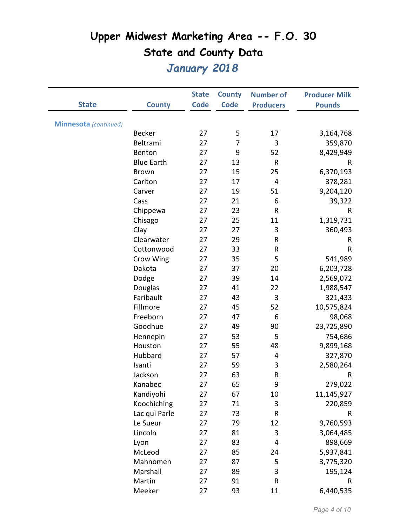|                       |                   | <b>State</b> | <b>County</b> | <b>Number of</b> | <b>Producer Milk</b> |
|-----------------------|-------------------|--------------|---------------|------------------|----------------------|
| <b>State</b>          | <b>County</b>     | <b>Code</b>  | <b>Code</b>   | <b>Producers</b> | <b>Pounds</b>        |
|                       |                   |              |               |                  |                      |
| Minnesota (continued) |                   |              |               |                  |                      |
|                       | <b>Becker</b>     | 27           | 5             | 17               | 3,164,768            |
|                       | Beltrami          | 27           | 7             | 3                | 359,870              |
|                       | Benton            | 27           | 9             | 52               | 8,429,949            |
|                       | <b>Blue Earth</b> | 27           | 13            | R                | R                    |
|                       | <b>Brown</b>      | 27           | 15            | 25               | 6,370,193            |
|                       | Carlton           | 27           | 17            | 4                | 378,281              |
|                       | Carver            | 27           | 19            | 51               | 9,204,120            |
|                       | Cass              | 27           | 21            | 6                | 39,322               |
|                       | Chippewa          | 27           | 23            | R                | R                    |
|                       | Chisago           | 27           | 25            | 11               | 1,319,731            |
|                       | Clay              | 27           | 27            | 3                | 360,493              |
|                       | Clearwater        | 27           | 29            | R                | R                    |
|                       | Cottonwood        | 27           | 33            | R                | R                    |
|                       | Crow Wing         | 27           | 35            | 5                | 541,989              |
|                       | Dakota            | 27           | 37            | 20               | 6,203,728            |
|                       | Dodge             | 27           | 39            | 14               | 2,569,072            |
|                       | Douglas           | 27           | 41            | 22               | 1,988,547            |
|                       | Faribault         | 27           | 43            | 3                | 321,433              |
|                       | Fillmore          | 27           | 45            | 52               | 10,575,824           |
|                       | Freeborn          | 27           | 47            | 6                | 98,068               |
|                       | Goodhue           | 27           | 49            | 90               | 23,725,890           |
|                       | Hennepin          | 27           | 53            | 5                | 754,686              |
|                       | Houston           | 27           | 55            | 48               | 9,899,168            |
|                       | Hubbard           | 27           | 57            | 4                | 327,870              |
|                       | Isanti            | 27           | 59            | 3                | 2,580,264            |
|                       | Jackson           | 27           | 63            | ${\sf R}$        | R                    |
|                       | Kanabec           | 27           | 65            | 9                | 279,022              |
|                       | Kandiyohi         | 27           | 67            | 10               | 11,145,927           |
|                       | Koochiching       | 27           | 71            | 3                | 220,859              |
|                       | Lac qui Parle     | 27           | 73            | R                | R                    |
|                       | Le Sueur          | 27           | 79            | 12               | 9,760,593            |
|                       | Lincoln           | 27           | 81            | 3                | 3,064,485            |
|                       | Lyon              | 27           | 83            | 4                | 898,669              |
|                       | McLeod            | 27           | 85            | 24               | 5,937,841            |
|                       | Mahnomen          | 27           | 87            | 5                | 3,775,320            |
|                       | Marshall          | 27           | 89            | 3                | 195,124              |
|                       | Martin            | 27           | 91            | R                | R                    |
|                       | Meeker            | 27           | 93            | 11               | 6,440,535            |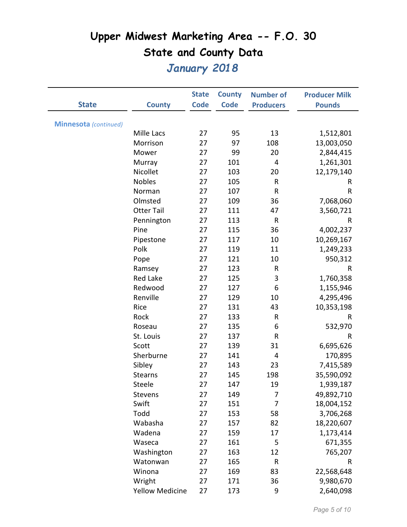|                              |                        | <b>State</b> | <b>County</b> | <b>Number of</b> | <b>Producer Milk</b> |
|------------------------------|------------------------|--------------|---------------|------------------|----------------------|
| <b>State</b>                 | <b>County</b>          | <b>Code</b>  | <b>Code</b>   | <b>Producers</b> | <b>Pounds</b>        |
|                              |                        |              |               |                  |                      |
| <b>Minnesota</b> (continued) |                        |              |               |                  |                      |
|                              | Mille Lacs             | 27           | 95            | 13               | 1,512,801            |
|                              | Morrison               | 27           | 97            | 108              | 13,003,050           |
|                              | Mower                  | 27           | 99            | 20               | 2,844,415            |
|                              | Murray                 | 27           | 101           | 4                | 1,261,301            |
|                              | Nicollet               | 27           | 103           | 20               | 12,179,140           |
|                              | <b>Nobles</b>          | 27           | 105           | R                | R                    |
|                              | Norman                 | 27           | 107           | ${\sf R}$        | $\mathsf R$          |
|                              | Olmsted                | 27           | 109           | 36               | 7,068,060            |
|                              | <b>Otter Tail</b>      | 27           | 111           | 47               | 3,560,721            |
|                              | Pennington             | 27           | 113           | $\mathsf R$      | R                    |
|                              | Pine                   | 27           | 115           | 36               | 4,002,237            |
|                              | Pipestone              | 27           | 117           | 10               | 10,269,167           |
|                              | Polk                   | 27           | 119           | 11               | 1,249,233            |
|                              | Pope                   | 27           | 121           | 10               | 950,312              |
|                              | Ramsey                 | 27           | 123           | R                | R                    |
|                              | <b>Red Lake</b>        | 27           | 125           | 3                | 1,760,358            |
|                              | Redwood                | 27           | 127           | 6                | 1,155,946            |
|                              | Renville               | 27           | 129           | 10               | 4,295,496            |
|                              | Rice                   | 27           | 131           | 43               | 10,353,198           |
|                              | Rock                   | 27           | 133           | R                | R                    |
|                              | Roseau                 | 27           | 135           | 6                | 532,970              |
|                              | St. Louis              | 27           | 137           | R                | R                    |
|                              | Scott                  | 27           | 139           | 31               | 6,695,626            |
|                              | Sherburne              | 27           | 141           | 4                | 170,895              |
|                              | Sibley                 | 27           | 143           | 23               | 7,415,589            |
|                              | <b>Stearns</b>         | 27           | 145           | 198              | 35,590,092           |
|                              | Steele                 | 27           | 147           | 19               | 1,939,187            |
|                              | Stevens                | 27           | 149           | 7                | 49,892,710           |
|                              | Swift                  | 27           | 151           | 7                | 18,004,152           |
|                              | Todd                   | 27           | 153           | 58               | 3,706,268            |
|                              | Wabasha                | 27           | 157           | 82               | 18,220,607           |
|                              | Wadena                 | 27           | 159           | 17               | 1,173,414            |
|                              | Waseca                 | 27           | 161           | 5                | 671,355              |
|                              | Washington             | 27           | 163           | 12               | 765,207              |
|                              | Watonwan               | 27           | 165           | R                | R                    |
|                              | Winona                 | 27           | 169           | 83               | 22,568,648           |
|                              | Wright                 | 27           | 171           | 36               | 9,980,670            |
|                              | <b>Yellow Medicine</b> | 27           | 173           | 9                | 2,640,098            |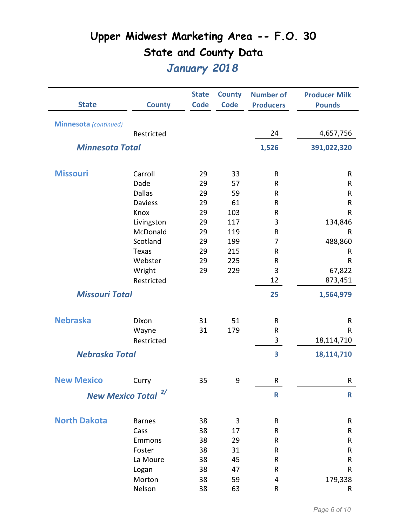|                              | <b>County</b>                  | <b>State</b><br><b>Code</b> | <b>County</b><br><b>Code</b> | <b>Number of</b> | <b>Producer Milk</b> |
|------------------------------|--------------------------------|-----------------------------|------------------------------|------------------|----------------------|
| <b>State</b>                 |                                |                             |                              | <b>Producers</b> | <b>Pounds</b>        |
| <b>Minnesota</b> (continued) |                                |                             |                              |                  |                      |
|                              | Restricted                     |                             |                              | 24               | 4,657,756            |
| <b>Minnesota Total</b>       |                                |                             |                              | 1,526            | 391,022,320          |
| <b>Missouri</b>              | Carroll                        | 29                          | 33                           | ${\sf R}$        | R                    |
|                              | Dade                           | 29                          | 57                           | R                | R                    |
|                              | <b>Dallas</b>                  | 29                          | 59                           | R                | R                    |
|                              | <b>Daviess</b>                 | 29                          | 61                           | R                | R                    |
|                              | Knox                           | 29                          | 103                          | R                | R                    |
|                              | Livingston                     | 29                          | 117                          | 3                | 134,846              |
|                              | McDonald                       | 29                          | 119                          | R                | R                    |
|                              | Scotland                       | 29                          | 199                          | $\overline{7}$   | 488,860              |
|                              | <b>Texas</b>                   | 29                          | 215                          | R                | R                    |
|                              | Webster                        | 29                          | 225                          | R                | R                    |
|                              | Wright                         | 29                          | 229                          | 3                | 67,822               |
|                              | Restricted                     |                             |                              | 12               | 873,451              |
| <b>Missouri Total</b>        |                                |                             |                              | 25               | 1,564,979            |
| <b>Nebraska</b>              | Dixon                          | 31                          | 51                           | $\mathsf R$      | R                    |
|                              | Wayne                          | 31                          | 179                          | ${\sf R}$        | $\sf R$              |
|                              | Restricted                     |                             |                              | 3                | 18,114,710           |
| <b>Nebraska Total</b>        |                                |                             |                              | 3                | 18,114,710           |
|                              |                                |                             |                              |                  |                      |
| <b>New Mexico</b>            | Curry                          | 35                          | 9                            | R                | R                    |
|                              | New Mexico Total <sup>2/</sup> |                             |                              | $\mathsf{R}$     | $\mathsf{R}$         |
| <b>North Dakota</b>          | <b>Barnes</b>                  | 38                          | 3                            | ${\sf R}$        | R                    |
|                              | Cass                           | 38                          | 17                           | ${\sf R}$        | R                    |
|                              | Emmons                         | 38                          | 29                           | R                | R                    |
|                              | Foster                         | 38                          | 31                           | ${\sf R}$        | R                    |
|                              | La Moure                       | 38                          | 45                           | R                | R                    |
|                              | Logan                          | 38                          | 47                           | R                | R                    |
|                              | Morton                         | 38                          | 59                           | 4                | 179,338              |
|                              | Nelson                         | 38                          | 63                           | $\mathsf{R}$     | R                    |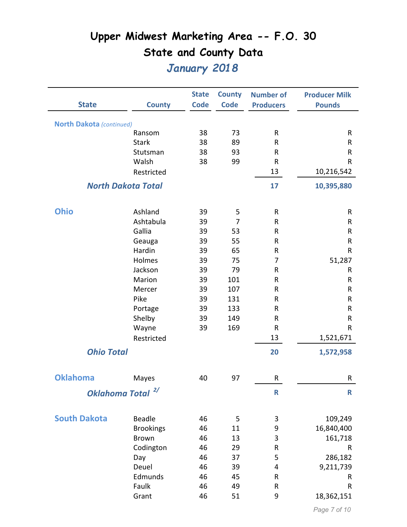|                                 |                              | <b>State</b> | <b>County</b>  | <b>Number of</b> | <b>Producer Milk</b>  |
|---------------------------------|------------------------------|--------------|----------------|------------------|-----------------------|
| <b>State</b>                    | <b>County</b>                | <b>Code</b>  | <b>Code</b>    | <b>Producers</b> | <b>Pounds</b>         |
| <b>North Dakota</b> (continued) |                              |              |                |                  |                       |
|                                 | Ransom                       | 38           | 73             | ${\sf R}$        | ${\sf R}$             |
|                                 | <b>Stark</b>                 | 38           | 89             | $\sf R$          | R                     |
|                                 | Stutsman                     | 38           | 93             | $\mathsf{R}$     | ${\sf R}$             |
|                                 | Walsh                        | 38           | 99             | $\mathsf R$      | R                     |
|                                 | Restricted                   |              |                | 13               | 10,216,542            |
|                                 | <b>North Dakota Total</b>    |              |                | 17               | 10,395,880            |
| <b>Ohio</b>                     | Ashland                      | 39           | 5              | ${\sf R}$        | ${\sf R}$             |
|                                 | Ashtabula                    | 39           | $\overline{7}$ | ${\sf R}$        | R                     |
|                                 | Gallia                       | 39           | 53             | R                | R                     |
|                                 | Geauga                       | 39           | 55             | $\mathsf{R}$     | ${\sf R}$             |
|                                 | Hardin                       | 39           | 65             | R                | ${\sf R}$             |
|                                 | Holmes                       | 39           | 75             | $\overline{7}$   | 51,287                |
|                                 | Jackson                      | 39           | 79             | R                | ${\sf R}$             |
|                                 | Marion                       | 39           | 101            | R                | $\sf R$               |
|                                 | Mercer                       | 39           | 107            | $\sf R$          | ${\sf R}$             |
|                                 | Pike                         | 39           | 131            | R                | R                     |
|                                 | Portage                      | 39           | 133            | $\sf R$          | ${\sf R}$             |
|                                 | Shelby                       | 39           | 149            | R                | ${\sf R}$             |
|                                 | Wayne                        | 39           | 169            | $\mathsf{R}$     | R                     |
|                                 | Restricted                   |              |                | 13               | 1,521,671             |
| <b>Ohio Total</b>               |                              |              |                | 20               | 1,572,958             |
| <b>Oklahoma</b>                 | Mayes                        | 40           | 97             | $\sf R$          | R                     |
|                                 | Oklahoma Total <sup>2/</sup> |              |                | $\mathsf{R}$     | R                     |
| <b>South Dakota</b>             | Beadle                       | 46           | 5              | $\mathbf{3}$     |                       |
|                                 | <b>Brookings</b>             | 46           | 11             | 9                | 109,249<br>16,840,400 |
|                                 | <b>Brown</b>                 | 46           | 13             | 3                | 161,718               |
|                                 | Codington                    | 46           | 29             | ${\sf R}$        | ${\sf R}$             |
|                                 | Day                          | 46           | 37             | 5                | 286,182               |
|                                 | Deuel                        | 46           | 39             | 4                | 9,211,739             |
|                                 | Edmunds                      | 46           | 45             | $\sf R$          | R                     |
|                                 | Faulk                        | 46           | 49             | R                | ${\sf R}$             |
|                                 | Grant                        | 46           | 51             | 9                | 18,362,151            |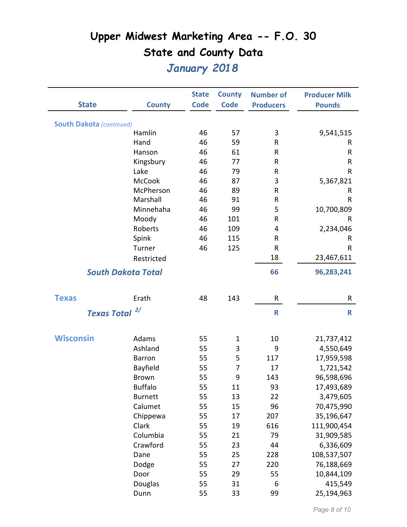|                                 |                           | <b>State</b> | <b>County</b> | <b>Number of</b> | <b>Producer Milk</b> |
|---------------------------------|---------------------------|--------------|---------------|------------------|----------------------|
| <b>State</b>                    | <b>County</b>             | <b>Code</b>  | <b>Code</b>   | <b>Producers</b> | <b>Pounds</b>        |
| <b>South Dakota (continued)</b> |                           |              |               |                  |                      |
|                                 | Hamlin                    | 46           | 57            | 3                | 9,541,515            |
|                                 | Hand                      | 46           | 59            | R                | R                    |
|                                 | Hanson                    | 46           | 61            | R                | R                    |
|                                 | Kingsbury                 | 46           | 77            | R                | R                    |
|                                 | Lake                      | 46           | 79            | R                | $\mathsf R$          |
|                                 | <b>McCook</b>             | 46           | 87            | 3                | 5,367,821            |
|                                 | McPherson                 | 46           | 89            | R                | R                    |
|                                 | Marshall                  | 46           | 91            | R                | R                    |
|                                 | Minnehaha                 | 46           | 99            | 5                | 10,700,809           |
|                                 | Moody                     | 46           | 101           | R                | R                    |
|                                 | Roberts                   | 46           | 109           | 4                | 2,234,046            |
|                                 | Spink                     | 46           | 115           | R                | R                    |
|                                 | Turner                    | 46           | 125           | R                | R                    |
|                                 | Restricted                |              |               | 18               | 23,467,611           |
|                                 | <b>South Dakota Total</b> |              |               | 66               | 96,283,241           |
| <b>Texas</b>                    | Erath                     | 48           | 143           | R                | R                    |
| <b>Texas Total</b>              | $\frac{2}{\pi}$           |              |               | R                | $\mathsf{R}$         |
|                                 |                           |              |               |                  |                      |
| <b>Wisconsin</b>                | Adams                     | 55           | $\mathbf 1$   | 10               | 21,737,412           |
|                                 | Ashland                   | 55           | 3             | 9                | 4,550,649            |
|                                 | <b>Barron</b>             | 55           | 5             | 117              | 17,959,598           |
|                                 | Bayfield                  | 55           | 7             | 17               | 1,721,542            |
|                                 | <b>Brown</b>              | 55           | 9             | 143              | 96,598,696           |
|                                 | <b>Buffalo</b>            | 55           | 11            | 93               | 17,493,689           |
|                                 | <b>Burnett</b>            | 55           | 13            | 22               | 3,479,605            |
|                                 | Calumet                   | 55           | 15            | 96               | 70,475,990           |
|                                 | Chippewa                  | 55           | 17            | 207              | 35,196,647           |
|                                 | Clark                     | 55           | 19            | 616              | 111,900,454          |
|                                 | Columbia                  | 55           | 21            | 79               | 31,909,585           |
|                                 | Crawford                  | 55           | 23            | 44               | 6,336,609            |
|                                 | Dane                      | 55           | 25            | 228              | 108,537,507          |
|                                 | Dodge                     | 55           | 27            | 220              | 76,188,669           |
|                                 | Door                      | 55           | 29            | 55               | 10,844,109           |
|                                 | Douglas                   | 55           | 31            | 6                | 415,549              |
|                                 | Dunn                      | 55           | 33            | 99               | 25,194,963           |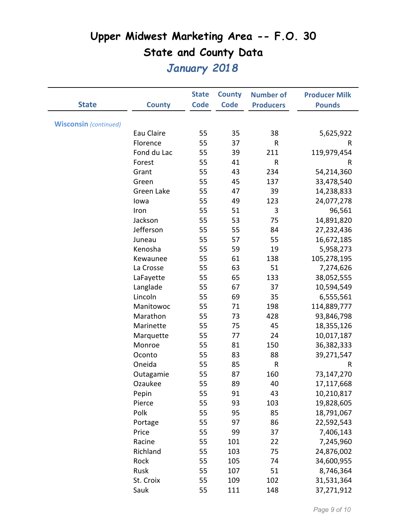|                              |               | <b>State</b> | <b>County</b> | <b>Number of</b> | <b>Producer Milk</b> |
|------------------------------|---------------|--------------|---------------|------------------|----------------------|
| <b>State</b>                 | <b>County</b> | <b>Code</b>  | <b>Code</b>   | <b>Producers</b> | <b>Pounds</b>        |
|                              |               |              |               |                  |                      |
| <b>Wisconsin</b> (continued) |               |              |               |                  |                      |
|                              | Eau Claire    | 55           | 35            | 38               | 5,625,922            |
|                              | Florence      | 55           | 37            | R                | R                    |
|                              | Fond du Lac   | 55           | 39            | 211              | 119,979,454          |
|                              | Forest        | 55           | 41            | R                | R                    |
|                              | Grant         | 55           | 43            | 234              | 54,214,360           |
|                              | Green         | 55           | 45            | 137              | 33,478,540           |
|                              | Green Lake    | 55           | 47            | 39               | 14,238,833           |
|                              | lowa          | 55           | 49            | 123              | 24,077,278           |
|                              | Iron          | 55           | 51            | 3                | 96,561               |
|                              | Jackson       | 55           | 53            | 75               | 14,891,820           |
|                              | Jefferson     | 55           | 55            | 84               | 27,232,436           |
|                              | Juneau        | 55           | 57            | 55               | 16,672,185           |
|                              | Kenosha       | 55           | 59            | 19               | 5,958,273            |
|                              | Kewaunee      | 55           | 61            | 138              | 105,278,195          |
|                              | La Crosse     | 55           | 63            | 51               | 7,274,626            |
|                              | LaFayette     | 55           | 65            | 133              | 38,052,555           |
|                              | Langlade      | 55           | 67            | 37               | 10,594,549           |
|                              | Lincoln       | 55           | 69            | 35               | 6,555,561            |
|                              | Manitowoc     | 55           | 71            | 198              | 114,889,777          |
|                              | Marathon      | 55           | 73            | 428              | 93,846,798           |
|                              | Marinette     | 55           | 75            | 45               | 18,355,126           |
|                              | Marquette     | 55           | 77            | 24               | 10,017,187           |
|                              | Monroe        | 55           | 81            | 150              | 36,382,333           |
|                              | Oconto        | 55           | 83            | 88               | 39,271,547           |
|                              | Oneida        | 55           | 85            | R                | R                    |
|                              | Outagamie     | 55           | 87            | 160              | 73,147,270           |
|                              | Ozaukee       | 55           | 89            | 40               | 17,117,668           |
|                              | Pepin         | 55           | 91            | 43               | 10,210,817           |
|                              | Pierce        | 55           | 93            | 103              | 19,828,605           |
|                              | Polk          | 55           | 95            | 85               | 18,791,067           |
|                              | Portage       | 55           | 97            | 86               | 22,592,543           |
|                              | Price         | 55           | 99            | 37               | 7,406,143            |
|                              | Racine        | 55           | 101           | 22               | 7,245,960            |
|                              | Richland      | 55           | 103           | 75               | 24,876,002           |
|                              | Rock          | 55           | 105           | 74               | 34,600,955           |
|                              | Rusk          | 55           | 107           | 51               | 8,746,364            |
|                              | St. Croix     | 55           | 109           | 102              | 31,531,364           |
|                              | Sauk          | 55           | 111           | 148              | 37,271,912           |